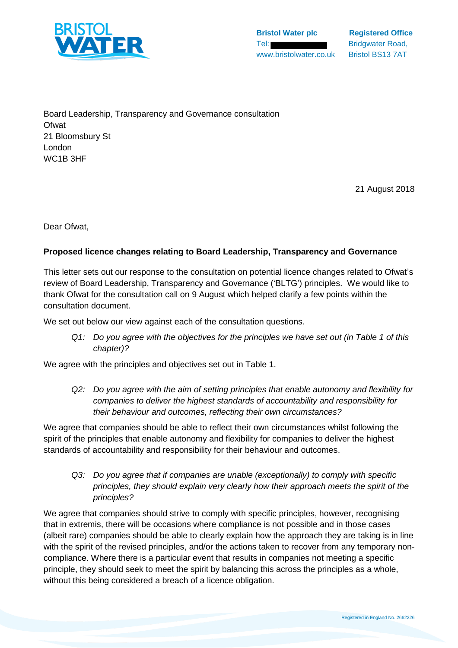

Board Leadership, Transparency and Governance consultation **Ofwat** 21 Bloomsbury St London WC1B 3HF

21 August 2018

Dear Ofwat,

## **Proposed licence changes relating to Board Leadership, Transparency and Governance**

This letter sets out our response to the consultation on potential licence changes related to Ofwat's review of Board Leadership, Transparency and Governance ('BLTG') principles. We would like to thank Ofwat for the consultation call on 9 August which helped clarify a few points within the consultation document.

We set out below our view against each of the consultation questions.

*Q1: Do you agree with the objectives for the principles we have set out (in Table 1 of this chapter)?* 

We agree with the principles and objectives set out in Table 1.

*Q2: Do you agree with the aim of setting principles that enable autonomy and flexibility for companies to deliver the highest standards of accountability and responsibility for their behaviour and outcomes, reflecting their own circumstances?* 

We agree that companies should be able to reflect their own circumstances whilst following the spirit of the principles that enable autonomy and flexibility for companies to deliver the highest standards of accountability and responsibility for their behaviour and outcomes.

*Q3: Do you agree that if companies are unable (exceptionally) to comply with specific principles, they should explain very clearly how their approach meets the spirit of the principles?* 

We agree that companies should strive to comply with specific principles, however, recognising that in extremis, there will be occasions where compliance is not possible and in those cases (albeit rare) companies should be able to clearly explain how the approach they are taking is in line with the spirit of the revised principles, and/or the actions taken to recover from any temporary noncompliance. Where there is a particular event that results in companies not meeting a specific principle, they should seek to meet the spirit by balancing this across the principles as a whole, without this being considered a breach of a licence obligation.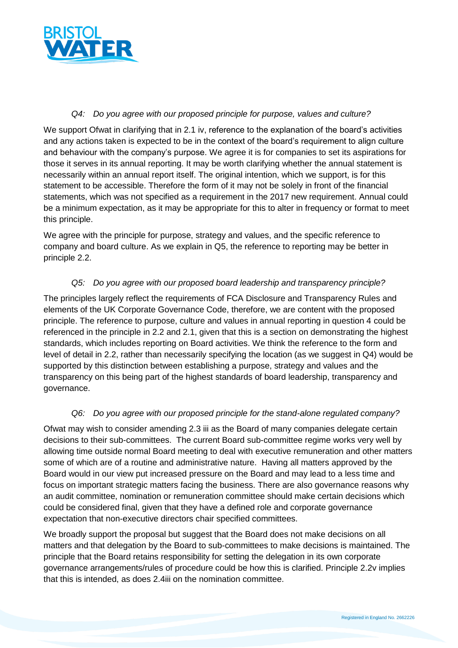

## *Q4: Do you agree with our proposed principle for purpose, values and culture?*

We support Ofwat in clarifying that in 2.1 iv, reference to the explanation of the board's activities and any actions taken is expected to be in the context of the board's requirement to align culture and behaviour with the company's purpose. We agree it is for companies to set its aspirations for those it serves in its annual reporting. It may be worth clarifying whether the annual statement is necessarily within an annual report itself. The original intention, which we support, is for this statement to be accessible. Therefore the form of it may not be solely in front of the financial statements, which was not specified as a requirement in the 2017 new requirement. Annual could be a minimum expectation, as it may be appropriate for this to alter in frequency or format to meet this principle.

We agree with the principle for purpose, strategy and values, and the specific reference to company and board culture. As we explain in Q5, the reference to reporting may be better in principle 2.2.

## *Q5: Do you agree with our proposed board leadership and transparency principle?*

The principles largely reflect the requirements of FCA Disclosure and Transparency Rules and elements of the UK Corporate Governance Code, therefore, we are content with the proposed principle. The reference to purpose, culture and values in annual reporting in question 4 could be referenced in the principle in 2.2 and 2.1, given that this is a section on demonstrating the highest standards, which includes reporting on Board activities. We think the reference to the form and level of detail in 2.2, rather than necessarily specifying the location (as we suggest in Q4) would be supported by this distinction between establishing a purpose, strategy and values and the transparency on this being part of the highest standards of board leadership, transparency and governance.

## *Q6: Do you agree with our proposed principle for the stand-alone regulated company?*

Ofwat may wish to consider amending 2.3 iii as the Board of many companies delegate certain decisions to their sub-committees. The current Board sub-committee regime works very well by allowing time outside normal Board meeting to deal with executive remuneration and other matters some of which are of a routine and administrative nature. Having all matters approved by the Board would in our view put increased pressure on the Board and may lead to a less time and focus on important strategic matters facing the business. There are also governance reasons why an audit committee, nomination or remuneration committee should make certain decisions which could be considered final, given that they have a defined role and corporate governance expectation that non-executive directors chair specified committees.

We broadly support the proposal but suggest that the Board does not make decisions on all matters and that delegation by the Board to sub-committees to make decisions is maintained. The principle that the Board retains responsibility for setting the delegation in its own corporate governance arrangements/rules of procedure could be how this is clarified. Principle 2.2v implies that this is intended, as does 2.4iii on the nomination committee.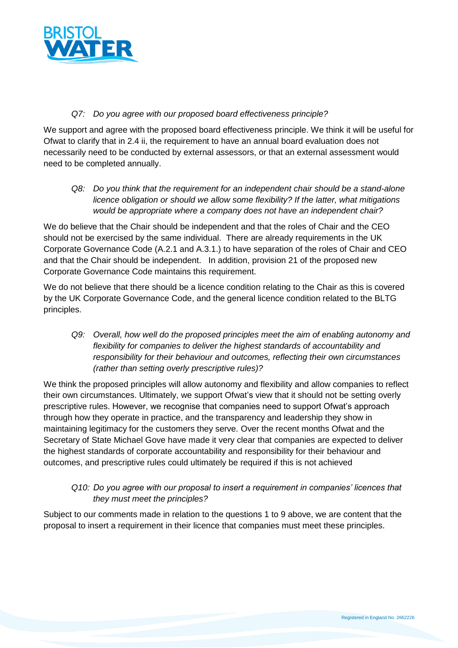

# *Q7: Do you agree with our proposed board effectiveness principle?*

We support and agree with the proposed board effectiveness principle. We think it will be useful for Ofwat to clarify that in 2.4 ii, the requirement to have an annual board evaluation does not necessarily need to be conducted by external assessors, or that an external assessment would need to be completed annually.

*Q8: Do you think that the requirement for an independent chair should be a stand-alone licence obligation or should we allow some flexibility? If the latter, what mitigations would be appropriate where a company does not have an independent chair?* 

We do believe that the Chair should be independent and that the roles of Chair and the CEO should not be exercised by the same individual. There are already requirements in the UK Corporate Governance Code (A.2.1 and A.3.1.) to have separation of the roles of Chair and CEO and that the Chair should be independent. In addition, provision 21 of the proposed new Corporate Governance Code maintains this requirement.

We do not believe that there should be a licence condition relating to the Chair as this is covered by the UK Corporate Governance Code, and the general licence condition related to the BLTG principles.

*Q9: Overall, how well do the proposed principles meet the aim of enabling autonomy and flexibility for companies to deliver the highest standards of accountability and responsibility for their behaviour and outcomes, reflecting their own circumstances (rather than setting overly prescriptive rules)?* 

We think the proposed principles will allow autonomy and flexibility and allow companies to reflect their own circumstances. Ultimately, we support Ofwat's view that it should not be setting overly prescriptive rules. However, we recognise that companies need to support Ofwat's approach through how they operate in practice, and the transparency and leadership they show in maintaining legitimacy for the customers they serve. Over the recent months Ofwat and the Secretary of State Michael Gove have made it very clear that companies are expected to deliver the highest standards of corporate accountability and responsibility for their behaviour and outcomes, and prescriptive rules could ultimately be required if this is not achieved

## *Q10: Do you agree with our proposal to insert a requirement in companies' licences that they must meet the principles?*

Subject to our comments made in relation to the questions 1 to 9 above, we are content that the proposal to insert a requirement in their licence that companies must meet these principles.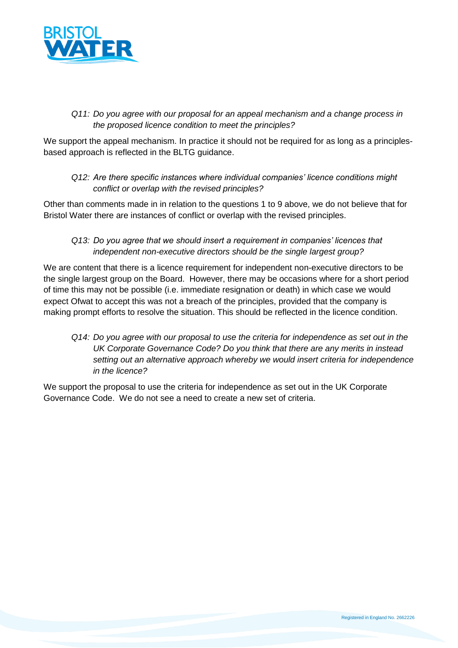

## *Q11: Do you agree with our proposal for an appeal mechanism and a change process in the proposed licence condition to meet the principles?*

We support the appeal mechanism. In practice it should not be required for as long as a principlesbased approach is reflected in the BLTG guidance.

*Q12: Are there specific instances where individual companies' licence conditions might conflict or overlap with the revised principles?* 

Other than comments made in in relation to the questions 1 to 9 above, we do not believe that for Bristol Water there are instances of conflict or overlap with the revised principles.

*Q13: Do you agree that we should insert a requirement in companies' licences that independent non-executive directors should be the single largest group?* 

We are content that there is a licence requirement for independent non-executive directors to be the single largest group on the Board. However, there may be occasions where for a short period of time this may not be possible (i.e. immediate resignation or death) in which case we would expect Ofwat to accept this was not a breach of the principles, provided that the company is making prompt efforts to resolve the situation. This should be reflected in the licence condition.

*Q14: Do you agree with our proposal to use the criteria for independence as set out in the UK Corporate Governance Code? Do you think that there are any merits in instead setting out an alternative approach whereby we would insert criteria for independence in the licence?* 

We support the proposal to use the criteria for independence as set out in the UK Corporate Governance Code. We do not see a need to create a new set of criteria.